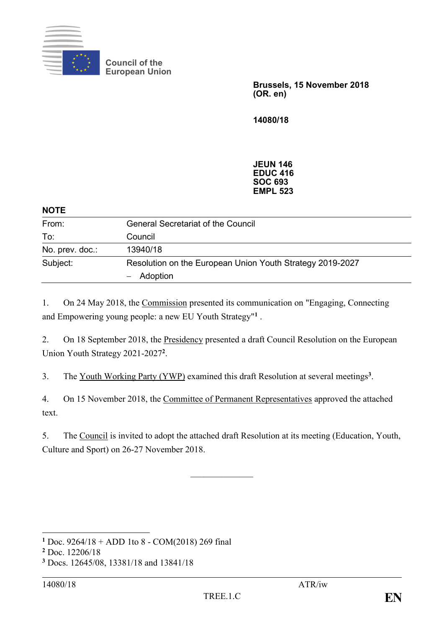

**Council of the European Union**

> **Brussels, 15 November 2018 (OR. en)**

**14080/18**

**JEUN 146 EDUC 416 SOC 693 EMPL 523**

## **NOTE** From: General Secretariat of the Council To: Council No. prev. doc.: 13940/18 Subject: Resolution on the European Union Youth Strategy 2019-2027 ‒ Adoption

1. On 24 May 2018, the Commission presented its communication on "Engaging, Connecting and Empowering young people: a new EU Youth Strategy" **1** .

2. On 18 September 2018, the Presidency presented a draft Council Resolution on the European Union Youth Strategy 2021-2027**<sup>2</sup>** .

3. The Youth Working Party (YWP) examined this draft Resolution at several meetings**<sup>3</sup>** .

4. On 15 November 2018, the Committee of Permanent Representatives approved the attached text.

5. The Council is invited to adopt the attached draft Resolution at its meeting (Education, Youth, Culture and Sport) on 26-27 November 2018.

 $\frac{1}{2}$ 

<sup>&</sup>lt;u>.</u> **<sup>1</sup>** Doc. 9264/18 + ADD 1to 8 - COM(2018) 269 final

**<sup>2</sup>** Doc. 12206/18

**<sup>3</sup>** Docs. 12645/08, 13381/18 and 13841/18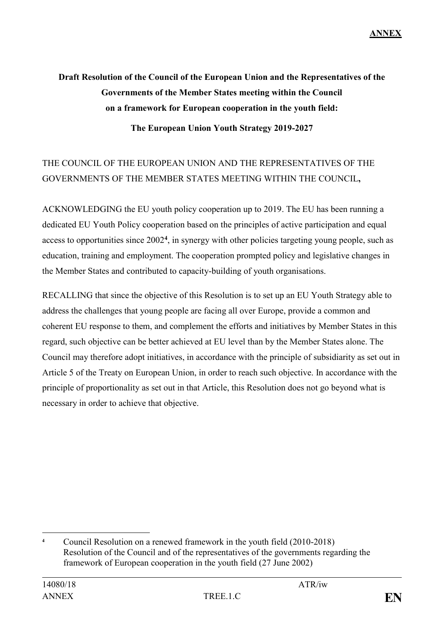# **Draft Resolution of the Council of the European Union and the Representatives of the Governments of the Member States meeting within the Council on a framework for European cooperation in the youth field: The European Union Youth Strategy 2019-2027**

## THE COUNCIL OF THE EUROPEAN UNION AND THE REPRESENTATIVES OF THE GOVERNMENTS OF THE MEMBER STATES MEETING WITHIN THE COUNCIL**,**

ACKNOWLEDGING the EU youth policy cooperation up to 2019. The EU has been running a dedicated EU Youth Policy cooperation based on the principles of active participation and equal access to opportunities since 2002**<sup>4</sup>** , in synergy with other policies targeting young people, such as education, training and employment. The cooperation prompted policy and legislative changes in the Member States and contributed to capacity-building of youth organisations.

RECALLING that since the objective of this Resolution is to set up an EU Youth Strategy able to address the challenges that young people are facing all over Europe, provide a common and coherent EU response to them, and complement the efforts and initiatives by Member States in this regard, such objective can be better achieved at EU level than by the Member States alone. The Council may therefore adopt initiatives, in accordance with the principle of subsidiarity as set out in Article 5 of the Treaty on European Union, in order to reach such objective. In accordance with the principle of proportionality as set out in that Article, this Resolution does not go beyond what is necessary in order to achieve that objective.

<sup>&</sup>lt;u>.</u> **<sup>4</sup>** Council Resolution on a renewed framework in the youth field (2010-2018) Resolution of the Council and of the representatives of the governments regarding the framework of European cooperation in the youth field (27 June 2002)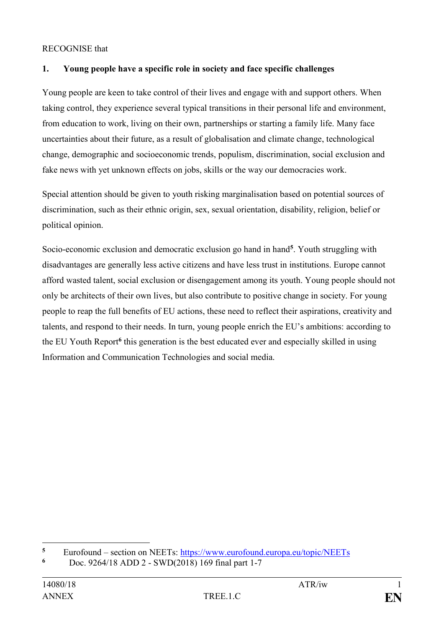#### RECOGNISE that

## **1. Young people have a specific role in society and face specific challenges**

Young people are keen to take control of their lives and engage with and support others. When taking control, they experience several typical transitions in their personal life and environment, from education to work, living on their own, partnerships or starting a family life. Many face uncertainties about their future, as a result of globalisation and climate change, technological change, demographic and socioeconomic trends, populism, discrimination, social exclusion and fake news with yet unknown effects on jobs, skills or the way our democracies work.

Special attention should be given to youth risking marginalisation based on potential sources of discrimination, such as their ethnic origin, sex, sexual orientation, disability, religion, belief or political opinion.

Socio-economic exclusion and democratic exclusion go hand in hand**<sup>5</sup>** . Youth struggling with disadvantages are generally less active citizens and have less trust in institutions. Europe cannot afford wasted talent, social exclusion or disengagement among its youth. Young people should not only be architects of their own lives, but also contribute to positive change in society. For young people to reap the full benefits of EU actions, these need to reflect their aspirations, creativity and talents, and respond to their needs. In turn, young people enrich the EU's ambitions: according to the EU Youth Report<sup>6</sup> this generation is the best educated ever and especially skilled in using Information and Communication Technologies and social media.

<u>.</u>

 $5$  Eurofound – section on NEETs:  $\frac{https://www.eurofound.europa.eu/topic/NEETS}{https://www.eurofound.europa.eu/topic/NEETS}$ 

**<sup>6</sup>** Doc. 9264/18 ADD 2 - SWD(2018) 169 final part 1-7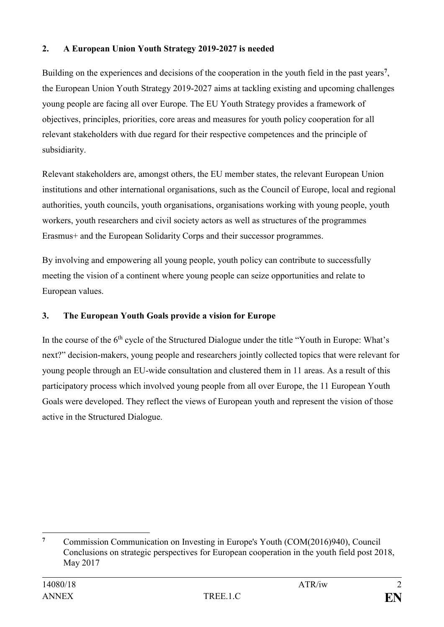## **2. A European Union Youth Strategy 2019-2027 is needed**

Building on the experiences and decisions of the cooperation in the youth field in the past years**<sup>7</sup>** , the European Union Youth Strategy 2019-2027 aims at tackling existing and upcoming challenges young people are facing all over Europe. The EU Youth Strategy provides a framework of objectives, principles, priorities, core areas and measures for youth policy cooperation for all relevant stakeholders with due regard for their respective competences and the principle of subsidiarity.

Relevant stakeholders are, amongst others, the EU member states, the relevant European Union institutions and other international organisations, such as the Council of Europe, local and regional authorities, youth councils, youth organisations, organisations working with young people, youth workers, youth researchers and civil society actors as well as structures of the programmes Erasmus+ and the European Solidarity Corps and their successor programmes.

By involving and empowering all young people, youth policy can contribute to successfully meeting the vision of a continent where young people can seize opportunities and relate to European values.

## **3. The European Youth Goals provide a vision for Europe**

In the course of the 6<sup>th</sup> cycle of the Structured Dialogue under the title "Youth in Europe: What's next?" decision-makers, young people and researchers jointly collected topics that were relevant for young people through an EU-wide consultation and clustered them in 11 areas. As a result of this participatory process which involved young people from all over Europe, the 11 European Youth Goals were developed. They reflect the views of European youth and represent the vision of those active in the Structured Dialogue.

<sup>&</sup>lt;u>.</u> **<sup>7</sup>** Commission Communication on Investing in Europe's Youth (COM(2016)940), Council Conclusions on strategic perspectives for European cooperation in the youth field post 2018, May 2017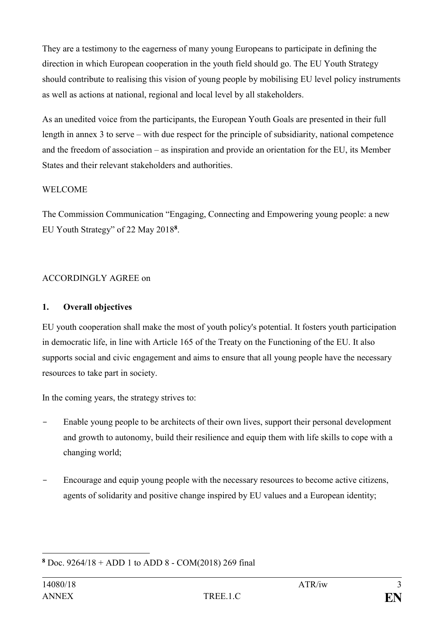They are a testimony to the eagerness of many young Europeans to participate in defining the direction in which European cooperation in the youth field should go. The EU Youth Strategy should contribute to realising this vision of young people by mobilising EU level policy instruments as well as actions at national, regional and local level by all stakeholders.

As an unedited voice from the participants, the European Youth Goals are presented in their full length in annex 3 to serve – with due respect for the principle of subsidiarity, national competence and the freedom of association – as inspiration and provide an orientation for the EU, its Member States and their relevant stakeholders and authorities.

#### WELCOME

The Commission Communication "Engaging, Connecting and Empowering young people: a new EU Youth Strategy" of 22 May 2018**<sup>8</sup>** .

## ACCORDINGLY AGREE on

## **1. Overall objectives**

EU youth cooperation shall make the most of youth policy's potential. It fosters youth participation in democratic life, in line with Article 165 of the Treaty on the Functioning of the EU. It also supports social and civic engagement and aims to ensure that all young people have the necessary resources to take part in society.

In the coming years, the strategy strives to:

- Enable young people to be architects of their own lives, support their personal development and growth to autonomy, build their resilience and equip them with life skills to cope with a changing world;
- Encourage and equip young people with the necessary resources to become active citizens, agents of solidarity and positive change inspired by EU values and a European identity;

<sup>1</sup> **<sup>8</sup>** Doc. 9264/18 + ADD 1 to ADD 8 - COM(2018) 269 final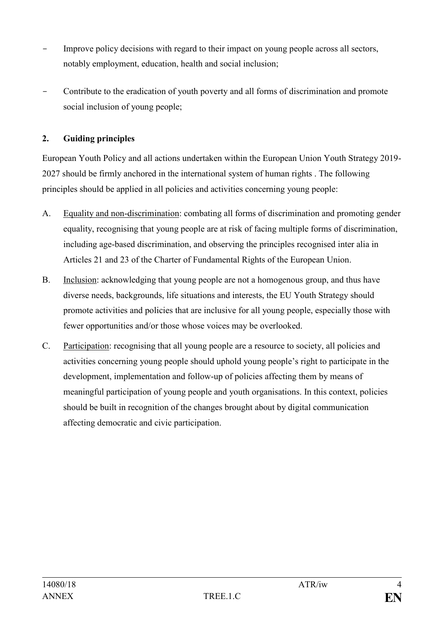- Improve policy decisions with regard to their impact on young people across all sectors, notably employment, education, health and social inclusion;
- Contribute to the eradication of youth poverty and all forms of discrimination and promote social inclusion of young people;

## **2. Guiding principles**

European Youth Policy and all actions undertaken within the European Union Youth Strategy 2019- 2027 should be firmly anchored in the international system of human rights . The following principles should be applied in all policies and activities concerning young people:

- A. Equality and non-discrimination: combating all forms of discrimination and promoting gender equality, recognising that young people are at risk of facing multiple forms of discrimination, including age-based discrimination, and observing the principles recognised inter alia in Articles 21 and 23 of the Charter of Fundamental Rights of the European Union.
- B. Inclusion: acknowledging that young people are not a homogenous group, and thus have diverse needs, backgrounds, life situations and interests, the EU Youth Strategy should promote activities and policies that are inclusive for all young people, especially those with fewer opportunities and/or those whose voices may be overlooked.
- C. Participation: recognising that all young people are a resource to society, all policies and activities concerning young people should uphold young people's right to participate in the development, implementation and follow-up of policies affecting them by means of meaningful participation of young people and youth organisations. In this context, policies should be built in recognition of the changes brought about by digital communication affecting democratic and civic participation.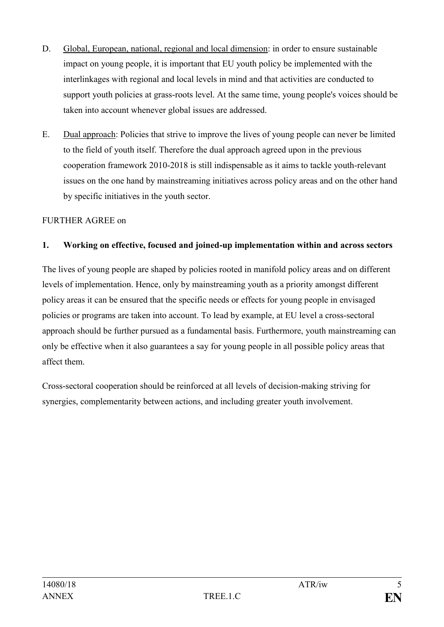- D. Global, European, national, regional and local dimension: in order to ensure sustainable impact on young people, it is important that EU youth policy be implemented with the interlinkages with regional and local levels in mind and that activities are conducted to support youth policies at grass-roots level. At the same time, young people's voices should be taken into account whenever global issues are addressed.
- E. Dual approach: Policies that strive to improve the lives of young people can never be limited to the field of youth itself. Therefore the dual approach agreed upon in the previous cooperation framework 2010-2018 is still indispensable as it aims to tackle youth-relevant issues on the one hand by mainstreaming initiatives across policy areas and on the other hand by specific initiatives in the youth sector.

## FURTHER AGREE on

#### **1. Working on effective, focused and joined-up implementation within and across sectors**

The lives of young people are shaped by policies rooted in manifold policy areas and on different levels of implementation. Hence, only by mainstreaming youth as a priority amongst different policy areas it can be ensured that the specific needs or effects for young people in envisaged policies or programs are taken into account. To lead by example, at EU level a cross-sectoral approach should be further pursued as a fundamental basis. Furthermore, youth mainstreaming can only be effective when it also guarantees a say for young people in all possible policy areas that affect them.

Cross-sectoral cooperation should be reinforced at all levels of decision-making striving for synergies, complementarity between actions, and including greater youth involvement.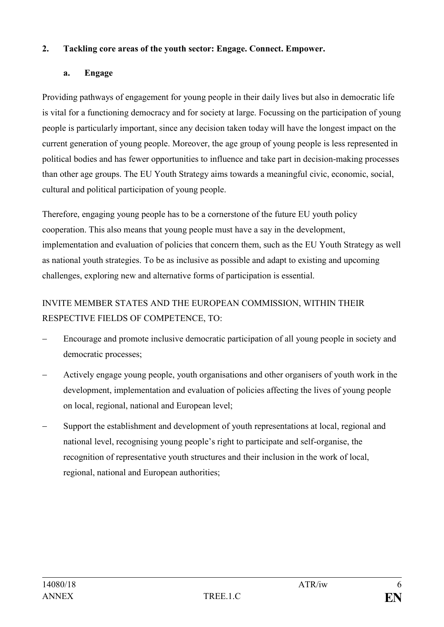## **2. Tackling core areas of the youth sector: Engage. Connect. Empower.**

## **a. Engage**

Providing pathways of engagement for young people in their daily lives but also in democratic life is vital for a functioning democracy and for society at large. Focussing on the participation of young people is particularly important, since any decision taken today will have the longest impact on the current generation of young people. Moreover, the age group of young people is less represented in political bodies and has fewer opportunities to influence and take part in decision-making processes than other age groups. The EU Youth Strategy aims towards a meaningful civic, economic, social, cultural and political participation of young people.

Therefore, engaging young people has to be a cornerstone of the future EU youth policy cooperation. This also means that young people must have a say in the development, implementation and evaluation of policies that concern them, such as the EU Youth Strategy as well as national youth strategies. To be as inclusive as possible and adapt to existing and upcoming challenges, exploring new and alternative forms of participation is essential.

## INVITE MEMBER STATES AND THE EUROPEAN COMMISSION, WITHIN THEIR RESPECTIVE FIELDS OF COMPETENCE, TO:

- ‒ Encourage and promote inclusive democratic participation of all young people in society and democratic processes;
- ‒ Actively engage young people, youth organisations and other organisers of youth work in the development, implementation and evaluation of policies affecting the lives of young people on local, regional, national and European level;
- ‒ Support the establishment and development of youth representations at local, regional and national level, recognising young people's right to participate and self-organise, the recognition of representative youth structures and their inclusion in the work of local, regional, national and European authorities;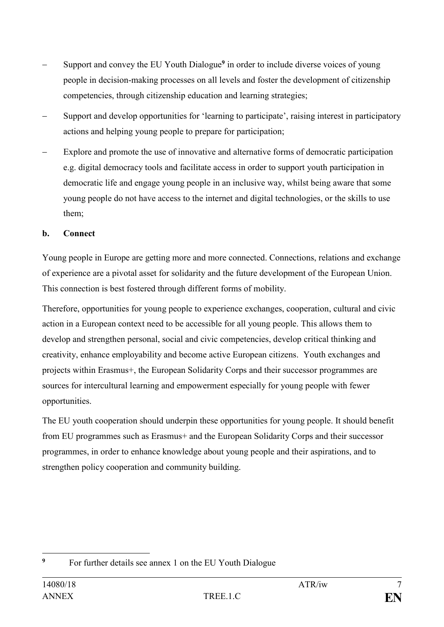- ‒ Support and convey the EU Youth Dialogue**<sup>9</sup>** in order to include diverse voices of young people in decision-making processes on all levels and foster the development of citizenship competencies, through citizenship education and learning strategies;
- ‒ Support and develop opportunities for 'learning to participate', raising interest in participatory actions and helping young people to prepare for participation;
- Explore and promote the use of innovative and alternative forms of democratic participation e.g. digital democracy tools and facilitate access in order to support youth participation in democratic life and engage young people in an inclusive way, whilst being aware that some young people do not have access to the internet and digital technologies, or the skills to use them;

## **b. Connect**

Young people in Europe are getting more and more connected. Connections, relations and exchange of experience are a pivotal asset for solidarity and the future development of the European Union. This connection is best fostered through different forms of mobility.

Therefore, opportunities for young people to experience exchanges, cooperation, cultural and civic action in a European context need to be accessible for all young people. This allows them to develop and strengthen personal, social and civic competencies, develop critical thinking and creativity, enhance employability and become active European citizens. Youth exchanges and projects within Erasmus+, the European Solidarity Corps and their successor programmes are sources for intercultural learning and empowerment especially for young people with fewer opportunities.

The EU youth cooperation should underpin these opportunities for young people. It should benefit from EU programmes such as Erasmus+ and the European Solidarity Corps and their successor programmes, in order to enhance knowledge about young people and their aspirations, and to strengthen policy cooperation and community building.

<sup>1</sup> <sup>9</sup> For further details see annex 1 on the EU Youth Dialogue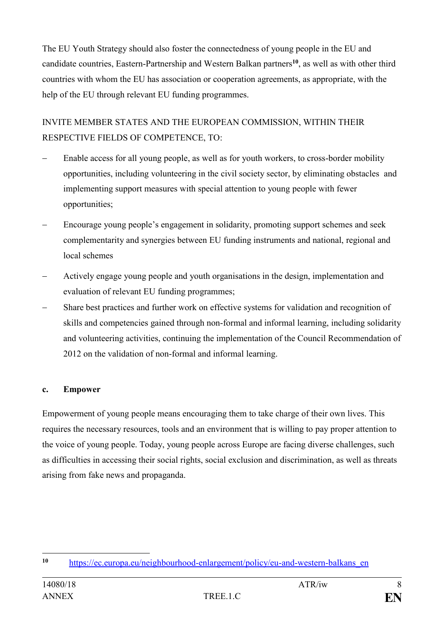The EU Youth Strategy should also foster the connectedness of young people in the EU and candidate countries, Eastern-Partnership and Western Balkan partners**<sup>10</sup>**, as well as with other third countries with whom the EU has association or cooperation agreements, as appropriate, with the help of the EU through relevant EU funding programmes.

INVITE MEMBER STATES AND THE EUROPEAN COMMISSION, WITHIN THEIR RESPECTIVE FIELDS OF COMPETENCE, TO:

- ‒ Enable access for all young people, as well as for youth workers, to cross-border mobility opportunities, including volunteering in the civil society sector, by eliminating obstacles and implementing support measures with special attention to young people with fewer opportunities;
- ‒ Encourage young people's engagement in solidarity, promoting support schemes and seek complementarity and synergies between EU funding instruments and national, regional and local schemes
- ‒ Actively engage young people and youth organisations in the design, implementation and evaluation of relevant EU funding programmes;
- ‒ Share best practices and further work on effective systems for validation and recognition of skills and competencies gained through non-formal and informal learning, including solidarity and volunteering activities, continuing the implementation of the Council Recommendation of 2012 on the validation of non-formal and informal learning.

#### **c. Empower**

Empowerment of young people means encouraging them to take charge of their own lives. This requires the necessary resources, tools and an environment that is willing to pay proper attention to the voice of young people. Today, young people across Europe are facing diverse challenges, such as difficulties in accessing their social rights, social exclusion and discrimination, as well as threats arising from fake news and propaganda.

<sup>1</sup> **<sup>10</sup>** [https://ec.europa.eu/neighbourhood-enlargement/policy/eu-and-western-balkans\\_en](https://ec.europa.eu/neighbourhood-enlargement/policy/eu-and-western-balkans_en)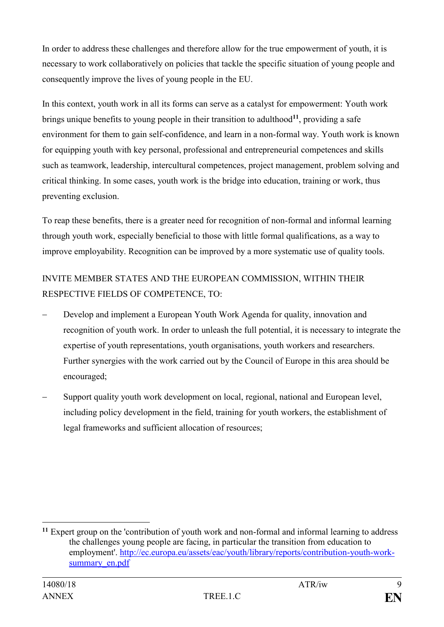In order to address these challenges and therefore allow for the true empowerment of youth, it is necessary to work collaboratively on policies that tackle the specific situation of young people and consequently improve the lives of young people in the EU.

In this context, youth work in all its forms can serve as a catalyst for empowerment: Youth work brings unique benefits to young people in their transition to adulthood**<sup>11</sup>**, providing a safe environment for them to gain self-confidence, and learn in a non-formal way. Youth work is known for equipping youth with key personal, professional and entrepreneurial competences and skills such as teamwork, leadership, intercultural competences, project management, problem solving and critical thinking. In some cases, youth work is the bridge into education, training or work, thus preventing exclusion.

To reap these benefits, there is a greater need for recognition of non-formal and informal learning through youth work, especially beneficial to those with little formal qualifications, as a way to improve employability. Recognition can be improved by a more systematic use of quality tools.

## INVITE MEMBER STATES AND THE EUROPEAN COMMISSION, WITHIN THEIR RESPECTIVE FIELDS OF COMPETENCE, TO:

- ‒ Develop and implement a European Youth Work Agenda for quality, innovation and recognition of youth work. In order to unleash the full potential, it is necessary to integrate the expertise of youth representations, youth organisations, youth workers and researchers. Further synergies with the work carried out by the Council of Europe in this area should be encouraged;
- ‒ Support quality youth work development on local, regional, national and European level, including policy development in the field, training for youth workers, the establishment of legal frameworks and sufficient allocation of resources;

<u>.</u>

**<sup>11</sup>** Expert group on the 'contribution of youth work and non-formal and informal learning to address the challenges young people are facing, in particular the transition from education to employment'. [http://ec.europa.eu/assets/eac/youth/library/reports/contribution-youth-work](http://ec.europa.eu/assets/eac/youth/library/reports/contribution-youth-work-summary_en.pdf)summary en.pdf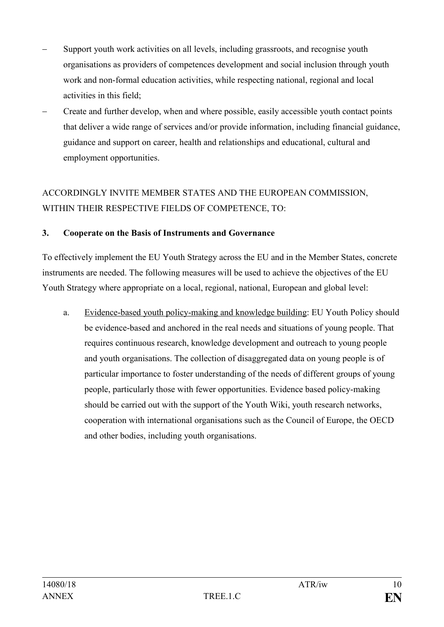- Support youth work activities on all levels, including grassroots, and recognise youth organisations as providers of competences development and social inclusion through youth work and non-formal education activities, while respecting national, regional and local activities in this field;
- ‒ Create and further develop, when and where possible, easily accessible youth contact points that deliver a wide range of services and/or provide information, including financial guidance, guidance and support on career, health and relationships and educational, cultural and employment opportunities.

## ACCORDINGLY INVITE MEMBER STATES AND THE EUROPEAN COMMISSION, WITHIN THEIR RESPECTIVE FIELDS OF COMPETENCE, TO:

#### **3. Cooperate on the Basis of Instruments and Governance**

To effectively implement the EU Youth Strategy across the EU and in the Member States, concrete instruments are needed. The following measures will be used to achieve the objectives of the EU Youth Strategy where appropriate on a local, regional, national, European and global level:

a. Evidence-based youth policy-making and knowledge building: EU Youth Policy should be evidence-based and anchored in the real needs and situations of young people. That requires continuous research, knowledge development and outreach to young people and youth organisations. The collection of disaggregated data on young people is of particular importance to foster understanding of the needs of different groups of young people, particularly those with fewer opportunities. Evidence based policy-making should be carried out with the support of the Youth Wiki, youth research networks, cooperation with international organisations such as the Council of Europe, the OECD and other bodies, including youth organisations.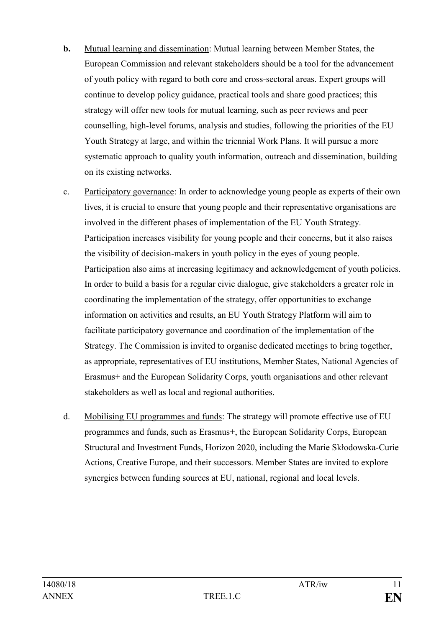- **b.** Mutual learning and dissemination: Mutual learning between Member States, the European Commission and relevant stakeholders should be a tool for the advancement of youth policy with regard to both core and cross-sectoral areas. Expert groups will continue to develop policy guidance, practical tools and share good practices; this strategy will offer new tools for mutual learning, such as peer reviews and peer counselling, high-level forums, analysis and studies, following the priorities of the EU Youth Strategy at large, and within the triennial Work Plans. It will pursue a more systematic approach to quality youth information, outreach and dissemination, building on its existing networks.
- c. Participatory governance: In order to acknowledge young people as experts of their own lives, it is crucial to ensure that young people and their representative organisations are involved in the different phases of implementation of the EU Youth Strategy. Participation increases visibility for young people and their concerns, but it also raises the visibility of decision-makers in youth policy in the eyes of young people. Participation also aims at increasing legitimacy and acknowledgement of youth policies. In order to build a basis for a regular civic dialogue, give stakeholders a greater role in coordinating the implementation of the strategy, offer opportunities to exchange information on activities and results, an EU Youth Strategy Platform will aim to facilitate participatory governance and coordination of the implementation of the Strategy. The Commission is invited to organise dedicated meetings to bring together, as appropriate, representatives of EU institutions, Member States, National Agencies of Erasmus+ and the European Solidarity Corps, youth organisations and other relevant stakeholders as well as local and regional authorities.
- d. Mobilising EU programmes and funds: The strategy will promote effective use of EU programmes and funds, such as Erasmus+, the European Solidarity Corps, European Structural and Investment Funds, Horizon 2020, including the Marie Skłodowska-Curie Actions, Creative Europe, and their successors. Member States are invited to explore synergies between funding sources at EU, national, regional and local levels.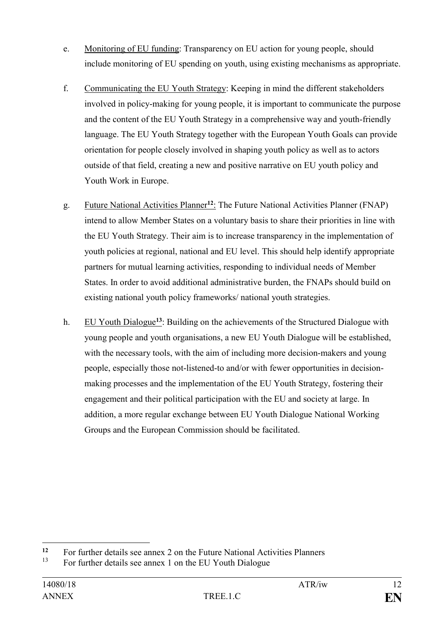- e. Monitoring of EU funding: Transparency on EU action for young people, should include monitoring of EU spending on youth, using existing mechanisms as appropriate.
- f. Communicating the EU Youth Strategy: Keeping in mind the different stakeholders involved in policy-making for young people, it is important to communicate the purpose and the content of the EU Youth Strategy in a comprehensive way and youth-friendly language. The EU Youth Strategy together with the European Youth Goals can provide orientation for people closely involved in shaping youth policy as well as to actors outside of that field, creating a new and positive narrative on EU youth policy and Youth Work in Europe.
- g. Future National Activities Planner**<sup>12</sup>**: The Future National Activities Planner (FNAP) intend to allow Member States on a voluntary basis to share their priorities in line with the EU Youth Strategy. Their aim is to increase transparency in the implementation of youth policies at regional, national and EU level. This should help identify appropriate partners for mutual learning activities, responding to individual needs of Member States. In order to avoid additional administrative burden, the FNAPs should build on existing national youth policy frameworks/ national youth strategies.
- h. EU Youth Dialogue**<sup>13</sup>**: Building on the achievements of the Structured Dialogue with young people and youth organisations, a new EU Youth Dialogue will be established, with the necessary tools, with the aim of including more decision-makers and young people, especially those not-listened-to and/or with fewer opportunities in decisionmaking processes and the implementation of the EU Youth Strategy, fostering their engagement and their political participation with the EU and society at large. In addition, a more regular exchange between EU Youth Dialogue National Working Groups and the European Commission should be facilitated.

 $12$ **12** For further details see annex 2 on the Future National Activities Planners<br> $\frac{13}{2}$  For further details are annex 1 on the FU Youth Dialogue

For further details see annex 1 on the EU Youth Dialogue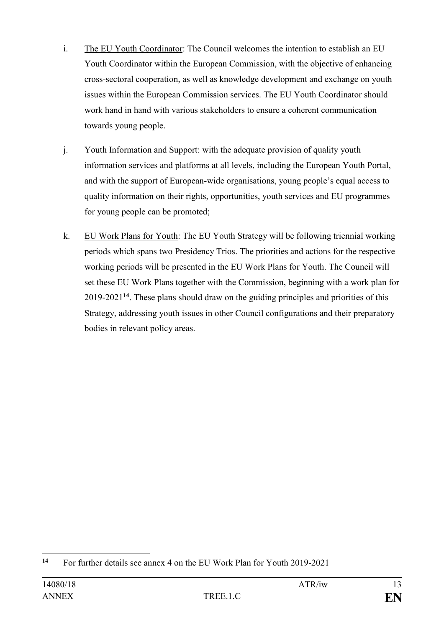- i. The EU Youth Coordinator: The Council welcomes the intention to establish an EU Youth Coordinator within the European Commission, with the objective of enhancing cross-sectoral cooperation, as well as knowledge development and exchange on youth issues within the European Commission services. The EU Youth Coordinator should work hand in hand with various stakeholders to ensure a coherent communication towards young people.
- j. Youth Information and Support: with the adequate provision of quality youth information services and platforms at all levels, including the European Youth Portal, and with the support of European-wide organisations, young people's equal access to quality information on their rights, opportunities, youth services and EU programmes for young people can be promoted;
- k. EU Work Plans for Youth: The EU Youth Strategy will be following triennial working periods which spans two Presidency Trios. The priorities and actions for the respective working periods will be presented in the EU Work Plans for Youth. The Council will set these EU Work Plans together with the Commission, beginning with a work plan for 2019-2021**<sup>14</sup>**. These plans should draw on the guiding principles and priorities of this Strategy, addressing youth issues in other Council configurations and their preparatory bodies in relevant policy areas.

<sup>1</sup> **<sup>14</sup>** For further details see annex 4 on the EU Work Plan for Youth 2019-2021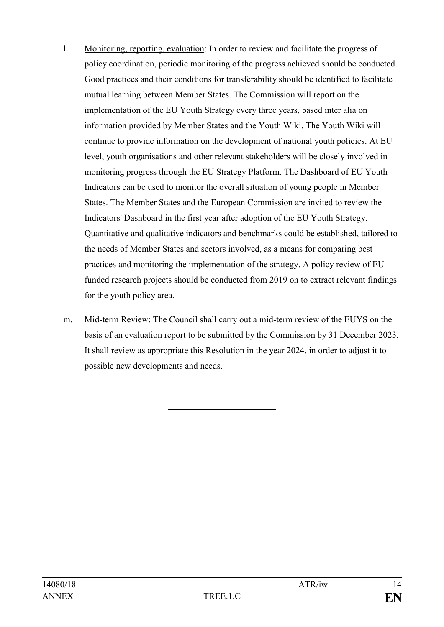- l. Monitoring, reporting, evaluation: In order to review and facilitate the progress of policy coordination, periodic monitoring of the progress achieved should be conducted. Good practices and their conditions for transferability should be identified to facilitate mutual learning between Member States. The Commission will report on the implementation of the EU Youth Strategy every three years, based inter alia on information provided by Member States and the Youth Wiki. The Youth Wiki will continue to provide information on the development of national youth policies. At EU level, youth organisations and other relevant stakeholders will be closely involved in monitoring progress through the EU Strategy Platform. The Dashboard of EU Youth Indicators can be used to monitor the overall situation of young people in Member States. The Member States and the European Commission are invited to review the Indicators' Dashboard in the first year after adoption of the EU Youth Strategy. Quantitative and qualitative indicators and benchmarks could be established, tailored to the needs of Member States and sectors involved, as a means for comparing best practices and monitoring the implementation of the strategy. A policy review of EU funded research projects should be conducted from 2019 on to extract relevant findings for the youth policy area.
- m. Mid-term Review: The Council shall carry out a mid-term review of the EUYS on the basis of an evaluation report to be submitted by the Commission by 31 December 2023. It shall review as appropriate this Resolution in the year 2024, in order to adjust it to possible new developments and needs.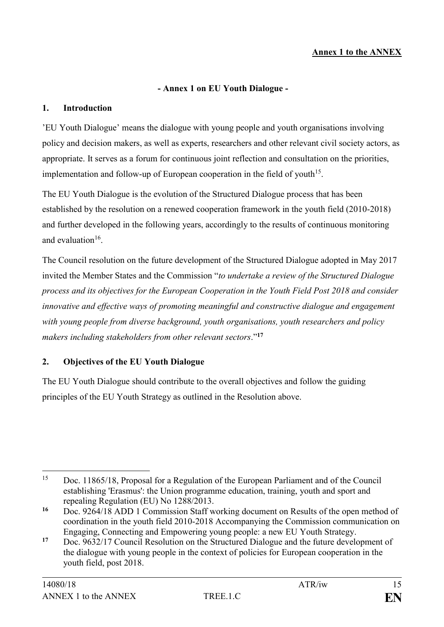## **Annex 1 to the ANNEX**

#### **- Annex 1 on EU Youth Dialogue -**

#### **1. Introduction**

'EU Youth Dialogue' means the dialogue with young people and youth organisations involving policy and decision makers, as well as experts, researchers and other relevant civil society actors, as appropriate. It serves as a forum for continuous joint reflection and consultation on the priorities, implementation and follow-up of European cooperation in the field of youth<sup>15</sup>.

The EU Youth Dialogue is the evolution of the Structured Dialogue process that has been established by the resolution on a renewed cooperation framework in the youth field (2010-2018) and further developed in the following years, accordingly to the results of continuous monitoring and evaluation $16$ .

The Council resolution on the future development of the Structured Dialogue adopted in May 2017 invited the Member States and the Commission "*to undertake a review of the Structured Dialogue process and its objectives for the European Cooperation in the Youth Field Post 2018 and consider innovative and effective ways of promoting meaningful and constructive dialogue and engagement with young people from diverse background, youth organisations, youth researchers and policy makers including stakeholders from other relevant sectors*."**<sup>17</sup>**

#### **2. Objectives of the EU Youth Dialogue**

The EU Youth Dialogue should contribute to the overall objectives and follow the guiding principles of the EU Youth Strategy as outlined in the Resolution above.

<sup>15</sup> Doc. 11865/18, Proposal for a Regulation of the European Parliament and of the Council establishing 'Erasmus': the Union programme education, training, youth and sport and repealing Regulation (EU) No 1288/2013.

**<sup>16</sup>** Doc. 9264/18 ADD 1 Commission Staff working document on Results of the open method of coordination in the youth field 2010-2018 Accompanying the Commission communication on Engaging, Connecting and Empowering young people: a new EU Youth Strategy.

**<sup>17</sup>** Doc. 9632/17 Council Resolution on the Structured Dialogue and the future development of the dialogue with young people in the context of policies for European cooperation in the youth field, post 2018.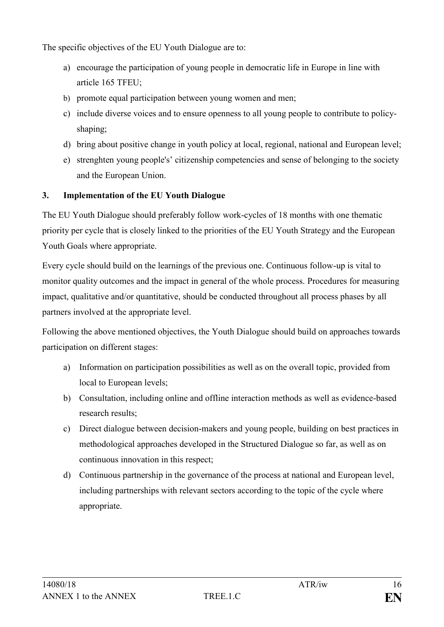The specific objectives of the EU Youth Dialogue are to:

- a) encourage the participation of young people in democratic life in Europe in line with article 165 TFEU;
- b) promote equal participation between young women and men;
- c) include diverse voices and to ensure openness to all young people to contribute to policyshaping;
- d) bring about positive change in youth policy at local, regional, national and European level;
- e) strenghten young people's' citizenship competencies and sense of belonging to the society and the European Union.

## **3. Implementation of the EU Youth Dialogue**

The EU Youth Dialogue should preferably follow work-cycles of 18 months with one thematic priority per cycle that is closely linked to the priorities of the EU Youth Strategy and the European Youth Goals where appropriate.

Every cycle should build on the learnings of the previous one. Continuous follow-up is vital to monitor quality outcomes and the impact in general of the whole process. Procedures for measuring impact, qualitative and/or quantitative, should be conducted throughout all process phases by all partners involved at the appropriate level.

Following the above mentioned objectives, the Youth Dialogue should build on approaches towards participation on different stages:

- a) Information on participation possibilities as well as on the overall topic, provided from local to European levels;
- b) Consultation, including online and offline interaction methods as well as evidence-based research results;
- c) Direct dialogue between decision-makers and young people, building on best practices in methodological approaches developed in the Structured Dialogue so far, as well as on continuous innovation in this respect;
- d) Continuous partnership in the governance of the process at national and European level, including partnerships with relevant sectors according to the topic of the cycle where appropriate.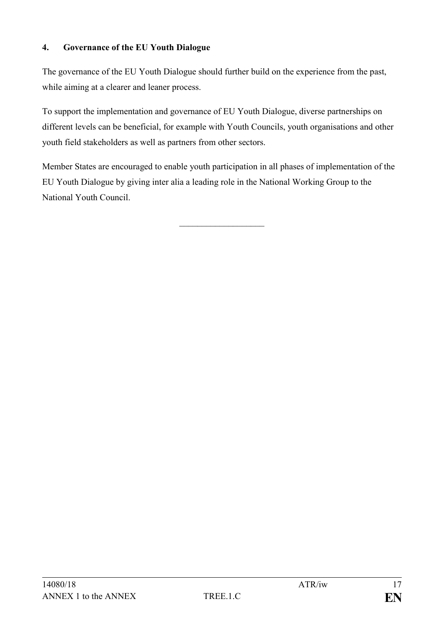### **4. Governance of the EU Youth Dialogue**

The governance of the EU Youth Dialogue should further build on the experience from the past, while aiming at a clearer and leaner process.

To support the implementation and governance of EU Youth Dialogue, diverse partnerships on different levels can be beneficial, for example with Youth Councils, youth organisations and other youth field stakeholders as well as partners from other sectors.

Member States are encouraged to enable youth participation in all phases of implementation of the EU Youth Dialogue by giving inter alia a leading role in the National Working Group to the National Youth Council.

\_\_\_\_\_\_\_\_\_\_\_\_\_\_\_\_\_\_\_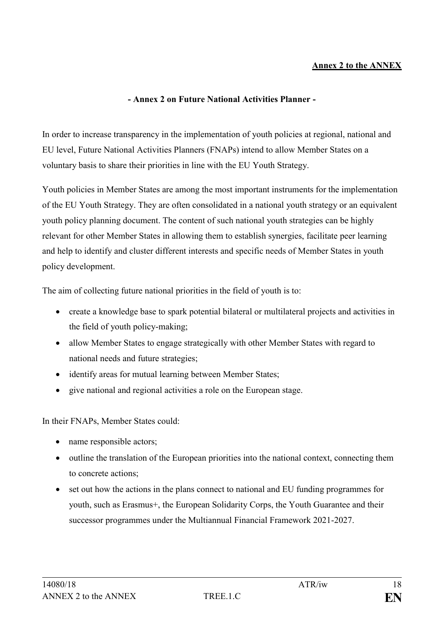#### **Annex 2 to the ANNEX**

#### **- Annex 2 on Future National Activities Planner -**

In order to increase transparency in the implementation of youth policies at regional, national and EU level, Future National Activities Planners (FNAPs) intend to allow Member States on a voluntary basis to share their priorities in line with the EU Youth Strategy.

Youth policies in Member States are among the most important instruments for the implementation of the EU Youth Strategy. They are often consolidated in a national youth strategy or an equivalent youth policy planning document. The content of such national youth strategies can be highly relevant for other Member States in allowing them to establish synergies, facilitate peer learning and help to identify and cluster different interests and specific needs of Member States in youth policy development.

The aim of collecting future national priorities in the field of youth is to:

- create a knowledge base to spark potential bilateral or multilateral projects and activities in the field of youth policy-making;
- allow Member States to engage strategically with other Member States with regard to national needs and future strategies;
- identify areas for mutual learning between Member States;
- give national and regional activities a role on the European stage.

In their FNAPs, Member States could:

- name responsible actors;
- outline the translation of the European priorities into the national context, connecting them to concrete actions;
- set out how the actions in the plans connect to national and EU funding programmes for youth, such as Erasmus+, the European Solidarity Corps, the Youth Guarantee and their successor programmes under the Multiannual Financial Framework 2021-2027.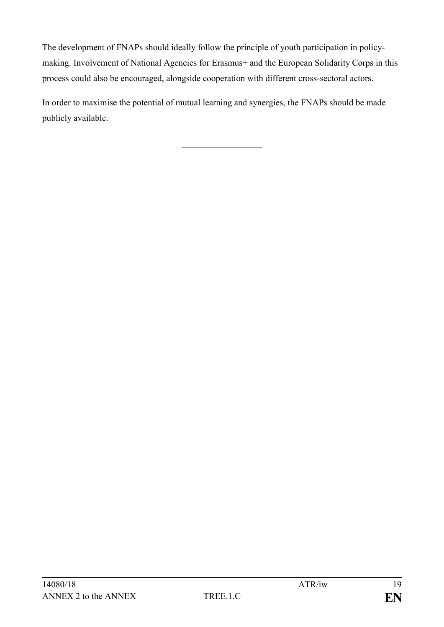The development of FNAPs should ideally follow the principle of youth participation in policymaking. Involvement of National Agencies for Erasmus+ and the European Solidarity Corps in this process could also be encouraged, alongside cooperation with different cross-sectoral actors.

In order to maximise the potential of mutual learning and synergies, the FNAPs should be made publicly available.

**\_\_\_\_\_\_\_\_\_\_\_\_\_\_\_\_\_\_**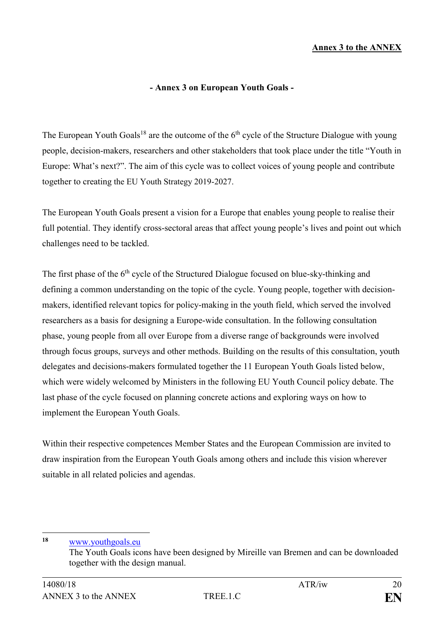#### **Annex 3 to the ANNEX**

#### **- Annex 3 on European Youth Goals -**

The European Youth Goals<sup>18</sup> are the outcome of the  $6<sup>th</sup>$  cycle of the Structure Dialogue with young people, decision-makers, researchers and other stakeholders that took place under the title "Youth in Europe: What's next?". The aim of this cycle was to collect voices of young people and contribute together to creating the EU Youth Strategy 2019-2027.

The European Youth Goals present a vision for a Europe that enables young people to realise their full potential. They identify cross-sectoral areas that affect young people's lives and point out which challenges need to be tackled.

The first phase of the  $6<sup>th</sup>$  cycle of the Structured Dialogue focused on blue-sky-thinking and defining a common understanding on the topic of the cycle. Young people, together with decisionmakers, identified relevant topics for policy-making in the youth field, which served the involved researchers as a basis for designing a Europe-wide consultation. In the following consultation phase, young people from all over Europe from a diverse range of backgrounds were involved through focus groups, surveys and other methods. Building on the results of this consultation, youth delegates and decisions-makers formulated together the 11 European Youth Goals listed below, which were widely welcomed by Ministers in the following EU Youth Council policy debate. The last phase of the cycle focused on planning concrete actions and exploring ways on how to implement the European Youth Goals.

Within their respective competences Member States and the European Commission are invited to draw inspiration from the European Youth Goals among others and include this vision wherever suitable in all related policies and agendas.

**<sup>18</sup>** [www.youthgoals.eu](http://www.youthgoals.eu/)

<u>.</u>

The Youth Goals icons have been designed by Mireille van Bremen and can be downloaded together with the design manual.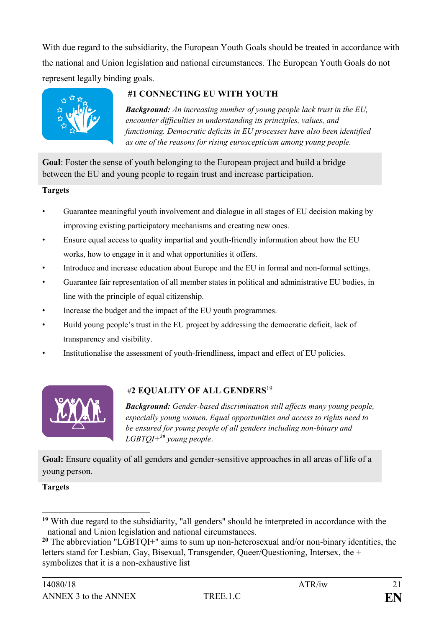With due regard to the subsidiarity, the European Youth Goals should be treated in accordance with the national and Union legislation and national circumstances. The European Youth Goals do not represent legally binding goals.



## **#1 CONNECTING EU WITH YOUTH**

*Background: An increasing number of young people lack trust in the EU, encounter difficulties in understanding its principles, values, and functioning. Democratic deficits in EU processes have also been identified as one of the reasons for rising euroscepticism among young people.*

**Goal**: Foster the sense of youth belonging to the European project and build a bridge between the EU and young people to regain trust and increase participation.

#### **Targets**

- Guarantee meaningful youth involvement and dialogue in all stages of EU decision making by improving existing participatory mechanisms and creating new ones.
- Ensure equal access to quality impartial and youth-friendly information about how the EU works, how to engage in it and what opportunities it offers.
- Introduce and increase education about Europe and the EU in formal and non-formal settings.
- Guarantee fair representation of all member states in political and administrative EU bodies, in line with the principle of equal citizenship.
- Increase the budget and the impact of the EU youth programmes.
- Build young people's trust in the EU project by addressing the democratic deficit, lack of transparency and visibility.
- Institutionalise the assessment of youth-friendliness, impact and effect of EU policies.



## #**2 EQUALITY OF ALL GENDERS**<sup>19</sup>

*Background: Gender-based discrimination still affects many young people, especially young women. Equal opportunities and access to rights need to be ensured for young people of all genders including non-binary and LGBTQI+<sup>20</sup> young people*.

Goal: Ensure equality of all genders and gender-sensitive approaches in all areas of life of a young person.

**Targets**

<u>.</u>

**<sup>19</sup>** With due regard to the subsidiarity, "all genders" should be interpreted in accordance with the national and Union legislation and national circumstances.

**<sup>20</sup>** The abbreviation "LGBTQI+" aims to sum up non-heterosexual and/or non-binary identities, the letters stand for Lesbian, Gay, Bisexual, Transgender, Queer/Questioning, Intersex, the + symbolizes that it is a non-exhaustive list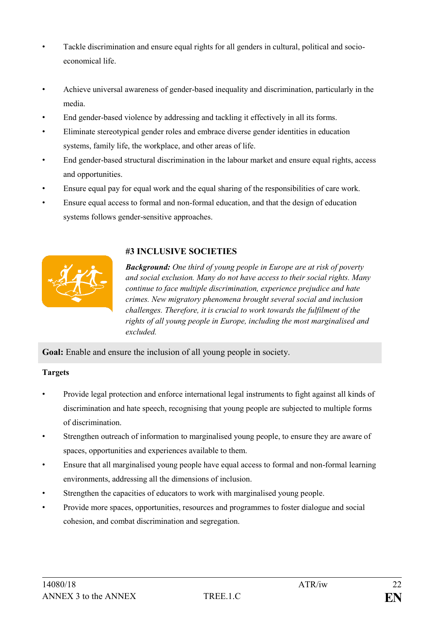- Tackle discrimination and ensure equal rights for all genders in cultural, political and socioeconomical life.
- Achieve universal awareness of gender-based inequality and discrimination, particularly in the media.
- End gender-based violence by addressing and tackling it effectively in all its forms.
- Eliminate stereotypical gender roles and embrace diverse gender identities in education systems, family life, the workplace, and other areas of life.
- End gender-based structural discrimination in the labour market and ensure equal rights, access and opportunities.
- Ensure equal pay for equal work and the equal sharing of the responsibilities of care work.
- Ensure equal access to formal and non-formal education, and that the design of education systems follows gender-sensitive approaches.



#### **#3 INCLUSIVE SOCIETIES**

*Background: One third of young people in Europe are at risk of poverty and social exclusion. Many do not have access to their social rights. Many continue to face multiple discrimination, experience prejudice and hate crimes. New migratory phenomena brought several social and inclusion challenges. Therefore, it is crucial to work towards the fulfilment of the rights of all young people in Europe, including the most marginalised and excluded.*

**Goal:** Enable and ensure the inclusion of all young people in society.

#### **Targets**

- Provide legal protection and enforce international legal instruments to fight against all kinds of discrimination and hate speech, recognising that young people are subjected to multiple forms of discrimination.
- Strengthen outreach of information to marginalised young people, to ensure they are aware of spaces, opportunities and experiences available to them.
- Ensure that all marginalised young people have equal access to formal and non-formal learning environments, addressing all the dimensions of inclusion.
- Strengthen the capacities of educators to work with marginalised young people.
- Provide more spaces, opportunities, resources and programmes to foster dialogue and social cohesion, and combat discrimination and segregation.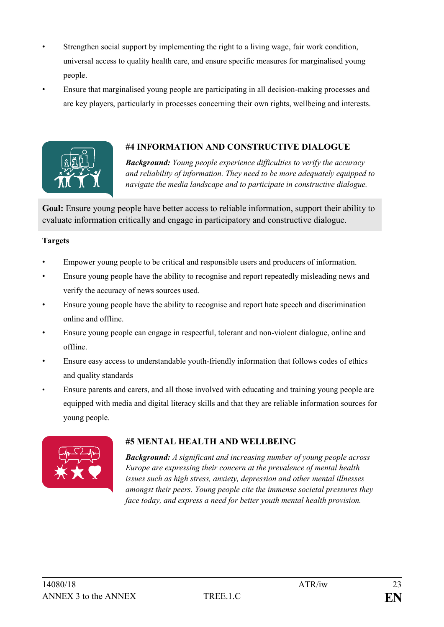- Strengthen social support by implementing the right to a living wage, fair work condition, universal access to quality health care, and ensure specific measures for marginalised young people.
- Ensure that marginalised young people are participating in all decision-making processes and are key players, particularly in processes concerning their own rights, wellbeing and interests.



#### **#4 INFORMATION AND CONSTRUCTIVE DIALOGUE**

*Background: Young people experience difficulties to verify the accuracy and reliability of information. They need to be more adequately equipped to navigate the media landscape and to participate in constructive dialogue.*

**Goal:** Ensure young people have better access to reliable information, support their ability to evaluate information critically and engage in participatory and constructive dialogue.

#### **Targets**

- Empower young people to be critical and responsible users and producers of information.
- Ensure young people have the ability to recognise and report repeatedly misleading news and verify the accuracy of news sources used.
- Ensure young people have the ability to recognise and report hate speech and discrimination online and offline.
- Ensure young people can engage in respectful, tolerant and non-violent dialogue, online and offline.
- Ensure easy access to understandable youth-friendly information that follows codes of ethics and quality standards
- Ensure parents and carers, and all those involved with educating and training young people are equipped with media and digital literacy skills and that they are reliable information sources for young people.



## **#5 MENTAL HEALTH AND WELLBEING**

*Background: A significant and increasing number of young people across Europe are expressing their concern at the prevalence of mental health issues such as high stress, anxiety, depression and other mental illnesses amongst their peers. Young people cite the immense societal pressures they face today, and express a need for better youth mental health provision.*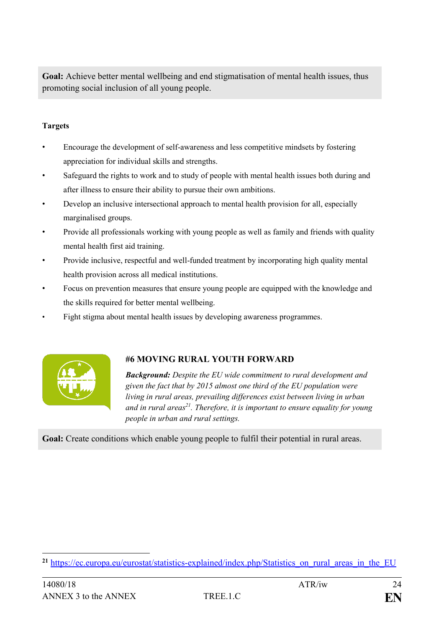Goal: Achieve better mental wellbeing and end stigmatisation of mental health issues, thus promoting social inclusion of all young people.

#### **Targets**

- Encourage the development of self-awareness and less competitive mindsets by fostering appreciation for individual skills and strengths.
- Safeguard the rights to work and to study of people with mental health issues both during and after illness to ensure their ability to pursue their own ambitions.
- Develop an inclusive intersectional approach to mental health provision for all, especially marginalised groups.
- Provide all professionals working with young people as well as family and friends with quality mental health first aid training.
- Provide inclusive, respectful and well-funded treatment by incorporating high quality mental health provision across all medical institutions.
- Focus on prevention measures that ensure young people are equipped with the knowledge and the skills required for better mental wellbeing.
- Fight stigma about mental health issues by developing awareness programmes.



## **#6 MOVING RURAL YOUTH FORWARD**

*Background: Despite the EU wide commitment to rural development and given the fact that by 2015 almost one third of the EU population were living in rural areas, prevailing differences exist between living in urban and in rural areas<sup>21</sup>. Therefore, it is important to ensure equality for young people in urban and rural settings.*

**Goal:** Create conditions which enable young people to fulfil their potential in rural areas.

<sup>1</sup> <sup>21</sup> [https://ec.europa.eu/eurostat/statistics-explained/index.php/Statistics\\_on\\_rural\\_areas\\_in\\_the\\_EU](https://ec.europa.eu/eurostat/statistics-explained/index.php/Statistics_on_rural_areas_in_the_EU)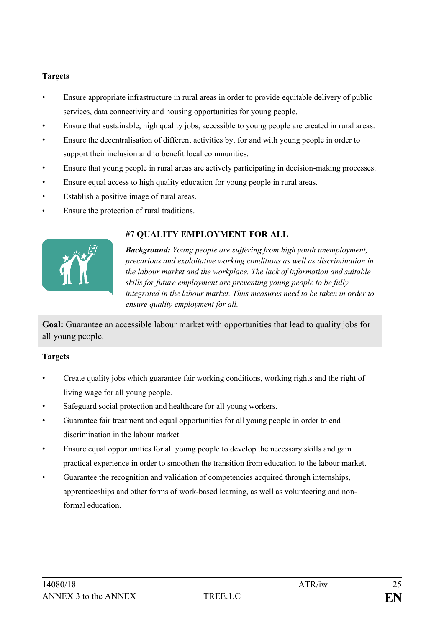#### **Targets**

- Ensure appropriate infrastructure in rural areas in order to provide equitable delivery of public services, data connectivity and housing opportunities for young people.
- Ensure that sustainable, high quality jobs, accessible to young people are created in rural areas.
- Ensure the decentralisation of different activities by, for and with young people in order to support their inclusion and to benefit local communities.
- Ensure that young people in rural areas are actively participating in decision-making processes.
- Ensure equal access to high quality education for young people in rural areas.
- Establish a positive image of rural areas.
- Ensure the protection of rural traditions.



## **#7 QUALITY EMPLOYMENT FOR ALL**

*Background: Young people are suffering from high youth unemployment, precarious and exploitative working conditions as well as discrimination in the labour market and the workplace. The lack of information and suitable skills for future employment are preventing young people to be fully integrated in the labour market. Thus measures need to be taken in order to ensure quality employment for all.*

**Goal:** Guarantee an accessible labour market with opportunities that lead to quality jobs for all young people.

#### **Targets**

- Create quality jobs which guarantee fair working conditions, working rights and the right of living wage for all young people.
- Safeguard social protection and healthcare for all young workers.
- Guarantee fair treatment and equal opportunities for all young people in order to end discrimination in the labour market.
- Ensure equal opportunities for all young people to develop the necessary skills and gain practical experience in order to smoothen the transition from education to the labour market.
- Guarantee the recognition and validation of competencies acquired through internships, apprenticeships and other forms of work-based learning, as well as volunteering and nonformal education.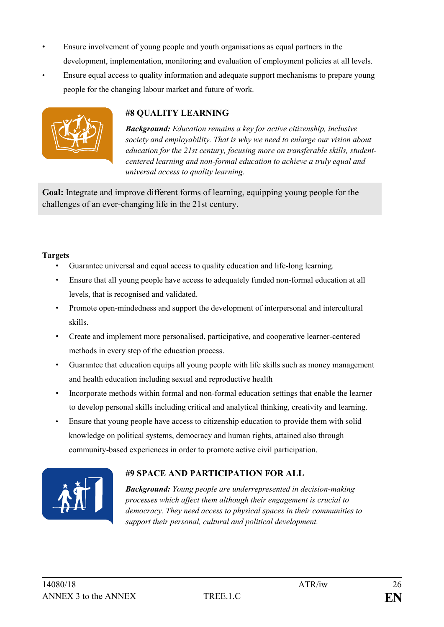- Ensure involvement of young people and youth organisations as equal partners in the development, implementation, monitoring and evaluation of employment policies at all levels.
- Ensure equal access to quality information and adequate support mechanisms to prepare young people for the changing labour market and future of work.



#### **#8 QUALITY LEARNING**

*Background: Education remains a key for active citizenship, inclusive society and employability. That is why we need to enlarge our vision about education for the 21st century, focusing more on transferable skills, studentcentered learning and non-formal education to achieve a truly equal and universal access to quality learning.*

**Goal:** Integrate and improve different forms of learning, equipping young people for the challenges of an ever-changing life in the 21st century.

#### **Targets**

- Guarantee universal and equal access to quality education and life-long learning.
- Ensure that all young people have access to adequately funded non-formal education at all levels, that is recognised and validated.
- Promote open-mindedness and support the development of interpersonal and intercultural skills.
- Create and implement more personalised, participative, and cooperative learner-centered methods in every step of the education process.
- Guarantee that education equips all young people with life skills such as money management and health education including sexual and reproductive health
- Incorporate methods within formal and non-formal education settings that enable the learner to develop personal skills including critical and analytical thinking, creativity and learning.
- Ensure that young people have access to citizenship education to provide them with solid knowledge on political systems, democracy and human rights, attained also through community-based experiences in order to promote active civil participation.



## **#9 SPACE AND PARTICIPATION FOR ALL**

*Background: Young people are underrepresented in decision-making processes which affect them although their engagement is crucial to democracy. They need access to physical spaces in their communities to support their personal, cultural and political development.*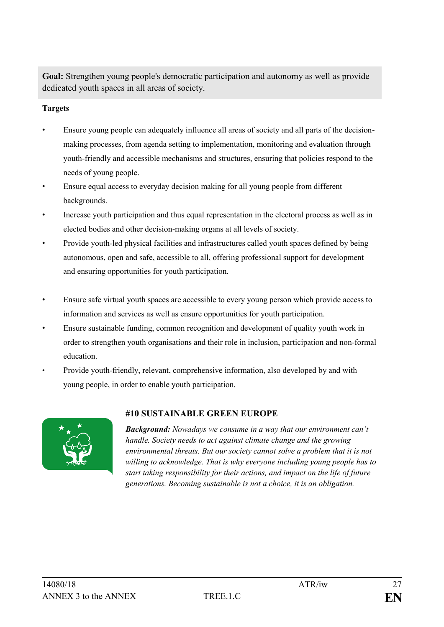**Goal:** Strengthen young people's democratic participation and autonomy as well as provide dedicated youth spaces in all areas of society.

#### **Targets**

- Ensure young people can adequately influence all areas of society and all parts of the decisionmaking processes, from agenda setting to implementation, monitoring and evaluation through youth-friendly and accessible mechanisms and structures, ensuring that policies respond to the needs of young people.
- Ensure equal access to everyday decision making for all young people from different backgrounds.
- Increase youth participation and thus equal representation in the electoral process as well as in elected bodies and other decision-making organs at all levels of society.
- Provide youth-led physical facilities and infrastructures called youth spaces defined by being autonomous, open and safe, accessible to all, offering professional support for development and ensuring opportunities for youth participation.
- Ensure safe virtual youth spaces are accessible to every young person which provide access to information and services as well as ensure opportunities for youth participation.
- Ensure sustainable funding, common recognition and development of quality youth work in order to strengthen youth organisations and their role in inclusion, participation and non-formal education.
- Provide youth-friendly, relevant, comprehensive information, also developed by and with young people, in order to enable youth participation.



#### **#10 SUSTAINABLE GREEN EUROPE**

*Background: Nowadays we consume in a way that our environment can't handle. Society needs to act against climate change and the growing environmental threats. But our society cannot solve a problem that it is not willing to acknowledge. That is why everyone including young people has to start taking responsibility for their actions, and impact on the life of future generations. Becoming sustainable is not a choice, it is an obligation.*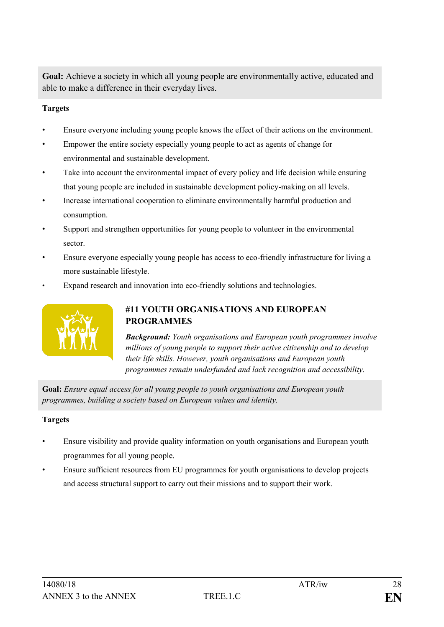**Goal:** Achieve a society in which all young people are environmentally active, educated and able to make a difference in their everyday lives.

#### **Targets**

- Ensure everyone including young people knows the effect of their actions on the environment.
- Empower the entire society especially young people to act as agents of change for environmental and sustainable development.
- Take into account the environmental impact of every policy and life decision while ensuring that young people are included in sustainable development policy-making on all levels.
- Increase international cooperation to eliminate environmentally harmful production and consumption.
- Support and strengthen opportunities for young people to volunteer in the environmental sector.
- Ensure everyone especially young people has access to eco-friendly infrastructure for living a more sustainable lifestyle.
- Expand research and innovation into eco-friendly solutions and technologies.



## **#11 YOUTH ORGANISATIONS AND EUROPEAN PROGRAMMES**

*Background: Youth organisations and European youth programmes involve millions of young people to support their active citizenship and to develop their life skills. However, youth organisations and European youth programmes remain underfunded and lack recognition and accessibility.*

**Goal:** *Ensure equal access for all young people to youth organisations and European youth programmes, building a society based on European values and identity.*

#### **Targets**

- Ensure visibility and provide quality information on youth organisations and European youth programmes for all young people.
- Ensure sufficient resources from EU programmes for youth organisations to develop projects and access structural support to carry out their missions and to support their work.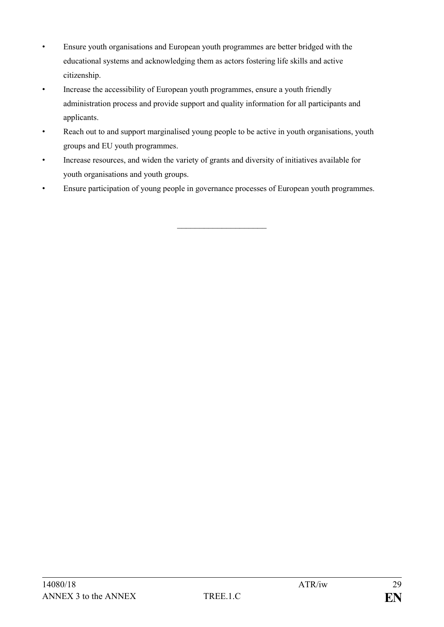- Ensure youth organisations and European youth programmes are better bridged with the educational systems and acknowledging them as actors fostering life skills and active citizenship.
- Increase the accessibility of European youth programmes, ensure a youth friendly administration process and provide support and quality information for all participants and applicants.
- Reach out to and support marginalised young people to be active in youth organisations, youth groups and EU youth programmes.
- Increase resources, and widen the variety of grants and diversity of initiatives available for youth organisations and youth groups.
- Ensure participation of young people in governance processes of European youth programmes.

\_\_\_\_\_\_\_\_\_\_\_\_\_\_\_\_\_\_\_\_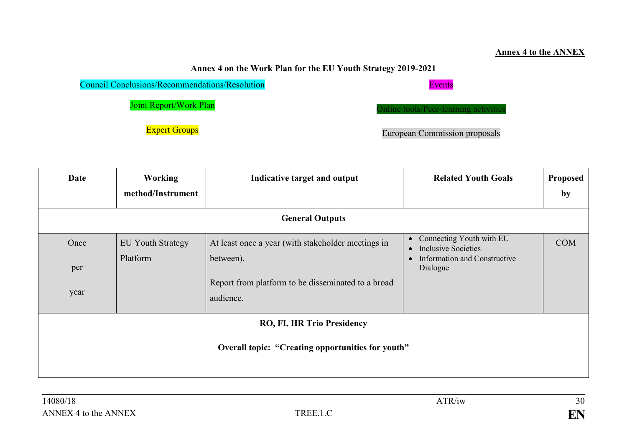#### **Annex 4 to the ANNEX**

## **Annex 4 on the Work Plan for the EU Youth Strategy 2019-2021**

| <b>Council Conclusions/Recommendations/Resolution</b> | <b>Events</b>                         |
|-------------------------------------------------------|---------------------------------------|
| <b>Joint Report/Work Plan</b>                         | Online tools/Peer-learning activities |
| <b>Expert Groups</b>                                  | <b>European Commission proposals</b>  |

| Date                                                                            | <b>Working</b><br>method/Instrument  | Indicative target and output                                                                                                       | <b>Related Youth Goals</b>                                                                                                                       | Proposed<br>by |
|---------------------------------------------------------------------------------|--------------------------------------|------------------------------------------------------------------------------------------------------------------------------------|--------------------------------------------------------------------------------------------------------------------------------------------------|----------------|
|                                                                                 |                                      | <b>General Outputs</b>                                                                                                             |                                                                                                                                                  |                |
| Once<br>per<br>year                                                             | <b>EU Youth Strategy</b><br>Platform | At least once a year (with stakeholder meetings in<br>between).<br>Report from platform to be disseminated to a broad<br>audience. | Connecting Youth with EU<br>$\bullet$<br><b>Inclusive Societies</b><br>$\bullet$<br><b>Information and Constructive</b><br>$\bullet$<br>Dialogue | <b>COM</b>     |
| RO, FI, HR Trio Presidency<br>Overall topic: "Creating opportunities for youth" |                                      |                                                                                                                                    |                                                                                                                                                  |                |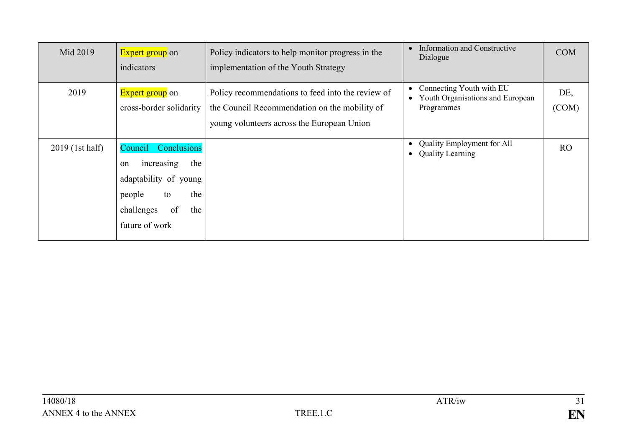| Mid 2019        | <b>Expert group</b> on<br>indicators                                                                                                           | Policy indicators to help monitor progress in the<br>implementation of the Youth Strategy                                                        | <b>Information and Constructive</b><br>$\bullet$<br>Dialogue                                         | <b>COM</b>     |
|-----------------|------------------------------------------------------------------------------------------------------------------------------------------------|--------------------------------------------------------------------------------------------------------------------------------------------------|------------------------------------------------------------------------------------------------------|----------------|
| 2019            | <b>Expert group</b> on<br>cross-border solidarity                                                                                              | Policy recommendations to feed into the review of<br>the Council Recommendation on the mobility of<br>young volunteers across the European Union | Connecting Youth with EU<br>$\bullet$<br>Youth Organisations and European<br>$\bullet$<br>Programmes | DE,<br>(COM)   |
| 2019 (1st half) | Conclusions<br>Council<br>increasing<br>the<br>on<br>adaptability of young<br>the<br>people<br>to<br>of<br>challenges<br>the<br>future of work |                                                                                                                                                  | <b>Quality Employment for All</b><br>$\bullet$<br><b>Quality Learning</b><br>$\bullet$               | R <sub>O</sub> |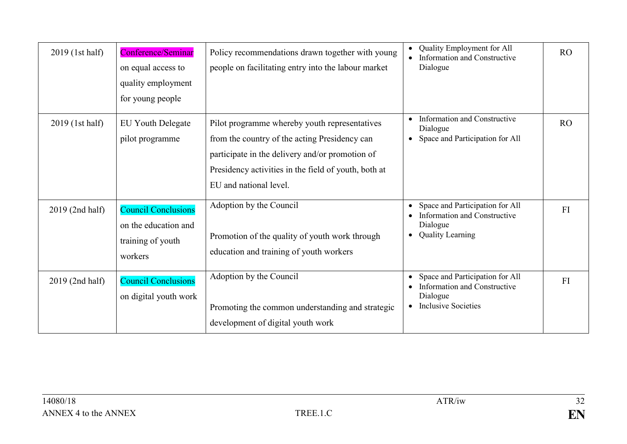| 2019 (1st half) | Conference/Seminar<br>on equal access to<br>quality employment<br>for young people | Policy recommendations drawn together with young<br>people on facilitating entry into the labour market                                                                                                                             | Quality Employment for All<br><b>Information and Constructive</b><br>Dialogue                                                                    | RO              |
|-----------------|------------------------------------------------------------------------------------|-------------------------------------------------------------------------------------------------------------------------------------------------------------------------------------------------------------------------------------|--------------------------------------------------------------------------------------------------------------------------------------------------|-----------------|
| 2019 (1st half) | <b>EU Youth Delegate</b><br>pilot programme                                        | Pilot programme whereby youth representatives<br>from the country of the acting Presidency can<br>participate in the delivery and/or promotion of<br>Presidency activities in the field of youth, both at<br>EU and national level. | Information and Constructive<br>$\bullet$<br>Dialogue<br>Space and Participation for All<br>$\bullet$                                            | RO <sub>1</sub> |
| 2019 (2nd half) | <b>Council Conclusions</b><br>on the education and<br>training of youth<br>workers | Adoption by the Council<br>Promotion of the quality of youth work through<br>education and training of youth workers                                                                                                                | Space and Participation for All<br>$\bullet$<br>Information and Constructive<br>Dialogue<br><b>Quality Learning</b><br>$\bullet$                 | FI              |
| 2019 (2nd half) | <b>Council Conclusions</b><br>on digital youth work                                | Adoption by the Council<br>Promoting the common understanding and strategic<br>development of digital youth work                                                                                                                    | Space and Participation for All<br>$\bullet$<br>Information and Constructive<br>$\bullet$<br>Dialogue<br><b>Inclusive Societies</b><br>$\bullet$ | FI              |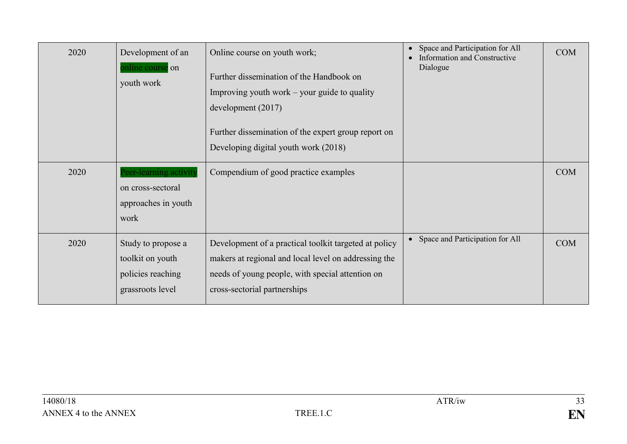| 2020 | Development of an<br>online course on<br>youth work                             | Online course on youth work;<br>Further dissemination of the Handbook on<br>Improving youth work $-$ your guide to quality<br>development $(2017)$<br>Further dissemination of the expert group report on<br>Developing digital youth work (2018) | Space and Participation for All<br>$\bullet$<br>Information and Constructive<br>Dialogue | <b>COM</b> |
|------|---------------------------------------------------------------------------------|---------------------------------------------------------------------------------------------------------------------------------------------------------------------------------------------------------------------------------------------------|------------------------------------------------------------------------------------------|------------|
| 2020 | Peer-learning activity<br>on cross-sectoral<br>approaches in youth<br>work      | Compendium of good practice examples                                                                                                                                                                                                              |                                                                                          | <b>COM</b> |
| 2020 | Study to propose a<br>toolkit on youth<br>policies reaching<br>grassroots level | Development of a practical toolkit targeted at policy<br>makers at regional and local level on addressing the<br>needs of young people, with special attention on<br>cross-sectorial partnerships                                                 | • Space and Participation for All                                                        | <b>COM</b> |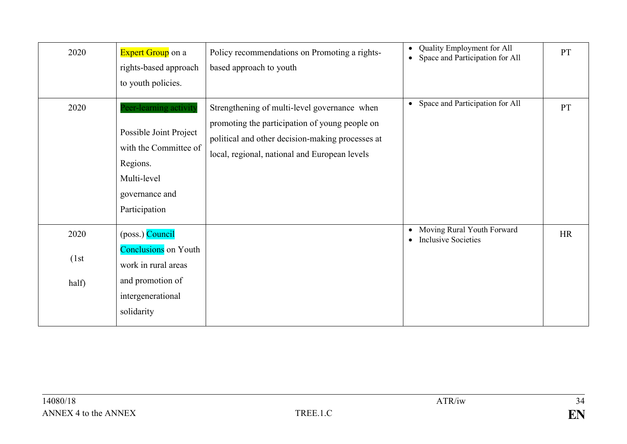| 2020                   | <b>Expert Group</b> on a<br>rights-based approach<br>to youth policies.                                                                 | Policy recommendations on Promoting a rights-<br>based approach to youth                                                                                                                            | Quality Employment for All<br>$\bullet$<br>Space and Participation for All<br>$\bullet$ | PT |
|------------------------|-----------------------------------------------------------------------------------------------------------------------------------------|-----------------------------------------------------------------------------------------------------------------------------------------------------------------------------------------------------|-----------------------------------------------------------------------------------------|----|
| 2020                   | Peer-learning activity<br>Possible Joint Project<br>with the Committee of<br>Regions.<br>Multi-level<br>governance and<br>Participation | Strengthening of multi-level governance when<br>promoting the participation of young people on<br>political and other decision-making processes at<br>local, regional, national and European levels | Space and Participation for All<br>$\bullet$                                            | PT |
| 2020<br>(1st)<br>half) | (poss.) Council<br><b>Conclusions</b> on Youth<br>work in rural areas<br>and promotion of<br>intergenerational<br>solidarity            |                                                                                                                                                                                                     | Moving Rural Youth Forward<br>$\bullet$<br><b>Inclusive Societies</b><br>$\bullet$      | HR |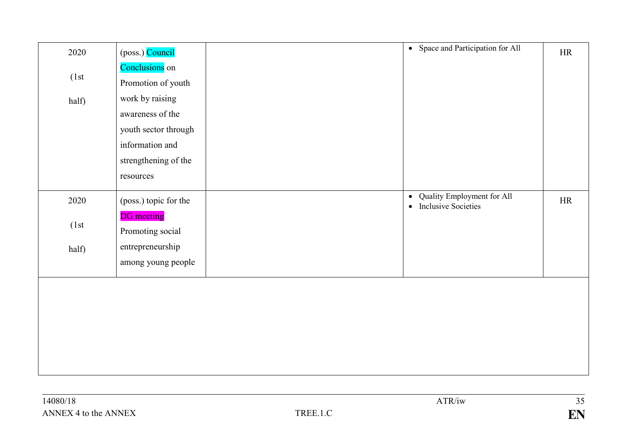| 2020  | (poss.) Council       | • Space and Participation for All       | HR |
|-------|-----------------------|-----------------------------------------|----|
|       | Conclusions on        |                                         |    |
| (1st) | Promotion of youth    |                                         |    |
| half) | work by raising       |                                         |    |
|       | awareness of the      |                                         |    |
|       | youth sector through  |                                         |    |
|       | information and       |                                         |    |
|       | strengthening of the  |                                         |    |
|       | resources             |                                         |    |
| 2020  | (poss.) topic for the | Quality Employment for All<br>$\bullet$ | HR |
|       |                       | <b>Inclusive Societies</b><br>$\bullet$ |    |
| (1st) | <b>DG</b> meeting     |                                         |    |
|       | Promoting social      |                                         |    |
| half) | entrepreneurship      |                                         |    |
|       | among young people    |                                         |    |
|       |                       |                                         |    |
|       |                       |                                         |    |
|       |                       |                                         |    |
|       |                       |                                         |    |
|       |                       |                                         |    |
|       |                       |                                         |    |
|       |                       |                                         |    |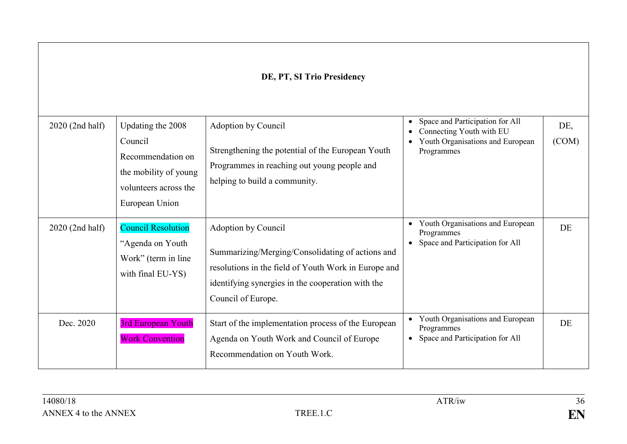## **DE, PT, SI Trio Presidency**

| 2020 (2nd half) | Updating the 2008<br>Council<br>Recommendation on<br>the mobility of young<br>volunteers across the<br>European Union | Adoption by Council<br>Strengthening the potential of the European Youth<br>Programmes in reaching out young people and<br>helping to build a community.                                                   | Space and Participation for All<br>$\bullet$<br>Connecting Youth with EU<br>$\bullet$<br>Youth Organisations and European<br>$\bullet$<br>Programmes | DE,<br>(COM) |
|-----------------|-----------------------------------------------------------------------------------------------------------------------|------------------------------------------------------------------------------------------------------------------------------------------------------------------------------------------------------------|------------------------------------------------------------------------------------------------------------------------------------------------------|--------------|
| 2020 (2nd half) | <b>Council Resolution</b><br>"Agenda on Youth<br>Work" (term in line<br>with final EU-YS)                             | Adoption by Council<br>Summarizing/Merging/Consolidating of actions and<br>resolutions in the field of Youth Work in Europe and<br>identifying synergies in the cooperation with the<br>Council of Europe. | Youth Organisations and European<br>$\bullet$<br>Programmes<br>Space and Participation for All                                                       | DE           |
| Dec. 2020       | 3rd European Youth<br><b>Work Convention</b>                                                                          | Start of the implementation process of the European<br>Agenda on Youth Work and Council of Europe<br>Recommendation on Youth Work.                                                                         | Youth Organisations and European<br>$\bullet$<br>Programmes<br>Space and Participation for All<br>$\bullet$                                          | DE           |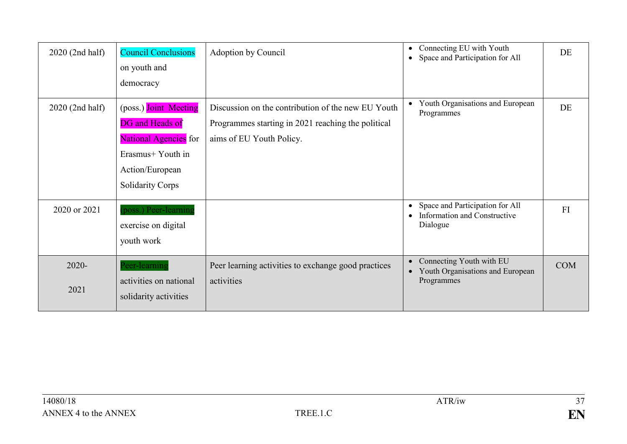| 2020 (2nd half)  | <b>Council Conclusions</b><br>on youth and<br>democracy                                                                                     | Adoption by Council                                                                                                                  | Connecting EU with Youth<br>$\bullet$<br>Space and Participation for All<br>$\bullet$                 | DE         |
|------------------|---------------------------------------------------------------------------------------------------------------------------------------------|--------------------------------------------------------------------------------------------------------------------------------------|-------------------------------------------------------------------------------------------------------|------------|
| 2020 (2nd half)  | (poss.) Joint Meeting<br><b>DG</b> and Heads of<br>National Agencies for<br>Erasmus+ Youth in<br>Action/European<br><b>Solidarity Corps</b> | Discussion on the contribution of the new EU Youth<br>Programmes starting in 2021 reaching the political<br>aims of EU Youth Policy. | Youth Organisations and European<br>$\bullet$<br>Programmes                                           | DE         |
| 2020 or 2021     | poss.) Peer-learning<br>exercise on digital<br>youth work                                                                                   |                                                                                                                                      | Space and Participation for All<br>$\bullet$<br>Information and Constructive<br>$\bullet$<br>Dialogue | FI         |
| $2020 -$<br>2021 | Peer-learning<br>activities on national<br>solidarity activities                                                                            | Peer learning activities to exchange good practices<br>activities                                                                    | Connecting Youth with EU<br>$\bullet$<br>Youth Organisations and European<br>$\bullet$<br>Programmes  | <b>COM</b> |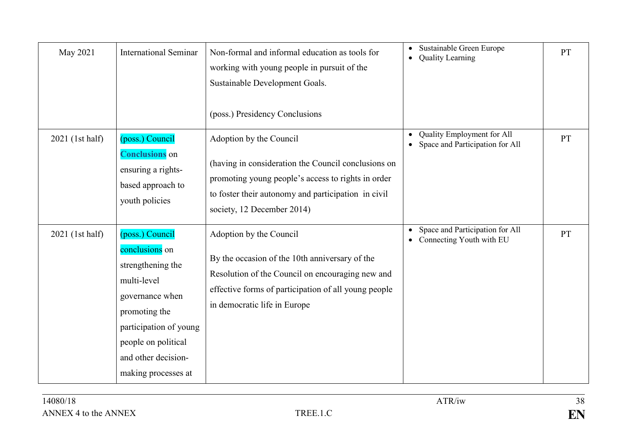| May 2021        | <b>International Seminar</b>                                                                                                                                                                             | Non-formal and informal education as tools for<br>working with young people in pursuit of the<br>Sustainable Development Goals.<br>(poss.) Presidency Conclusions                                                         | Sustainable Green Europe<br>$\bullet$<br><b>Quality Learning</b><br>$\bullet$           | <b>PT</b> |
|-----------------|----------------------------------------------------------------------------------------------------------------------------------------------------------------------------------------------------------|---------------------------------------------------------------------------------------------------------------------------------------------------------------------------------------------------------------------------|-----------------------------------------------------------------------------------------|-----------|
| 2021 (1st half) | (poss.) Council<br><b>Conclusions</b> on<br>ensuring a rights-<br>based approach to<br>youth policies                                                                                                    | Adoption by the Council<br>(having in consideration the Council conclusions on<br>promoting young people's access to rights in order<br>to foster their autonomy and participation in civil<br>society, 12 December 2014) | Quality Employment for All<br>$\bullet$<br>Space and Participation for All<br>$\bullet$ | <b>PT</b> |
| 2021 (1st half) | (poss.) Council<br>conclusions on<br>strengthening the<br>multi-level<br>governance when<br>promoting the<br>participation of young<br>people on political<br>and other decision-<br>making processes at | Adoption by the Council<br>By the occasion of the 10th anniversary of the<br>Resolution of the Council on encouraging new and<br>effective forms of participation of all young people<br>in democratic life in Europe     | Space and Participation for All<br>$\bullet$<br>Connecting Youth with EU<br>$\bullet$   | <b>PT</b> |